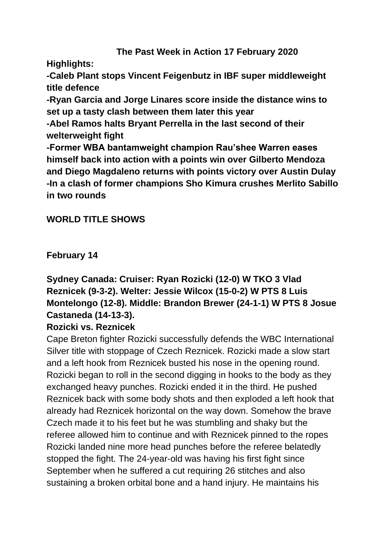## **The Past Week in Action 17 February 2020**

**Highlights:**

**-Caleb Plant stops Vincent Feigenbutz in IBF super middleweight title defence**

**-Ryan Garcia and Jorge Linares score inside the distance wins to set up a tasty clash between them later this year**

**-Abel Ramos halts Bryant Perrella in the last second of their welterweight fight**

**-Former WBA bantamweight champion Rau'shee Warren eases himself back into action with a points win over Gilberto Mendoza and Diego Magdaleno returns with points victory over Austin Dulay -In a clash of former champions Sho Kimura crushes Merlito Sabillo in two rounds**

## **WORLD TITLE SHOWS**

**February 14**

# **Sydney Canada: Cruiser: Ryan Rozicki (12-0) W TKO 3 Vlad Reznicek (9-3-2). Welter: Jessie Wilcox (15-0-2) W PTS 8 Luis Montelongo (12-8). Middle: Brandon Brewer (24-1-1) W PTS 8 Josue Castaneda (14-13-3).**

## **Rozicki vs. Reznicek**

Cape Breton fighter Rozicki successfully defends the WBC International Silver title with stoppage of Czech Reznicek. Rozicki made a slow start and a left hook from Reznicek busted his nose in the opening round. Rozicki began to roll in the second digging in hooks to the body as they exchanged heavy punches. Rozicki ended it in the third. He pushed Reznicek back with some body shots and then exploded a left hook that already had Reznicek horizontal on the way down. Somehow the brave Czech made it to his feet but he was stumbling and shaky but the referee allowed him to continue and with Reznicek pinned to the ropes Rozicki landed nine more head punches before the referee belatedly stopped the fight. The 24-year-old was having his first fight since September when he suffered a cut requiring 26 stitches and also sustaining a broken orbital bone and a hand injury. He maintains his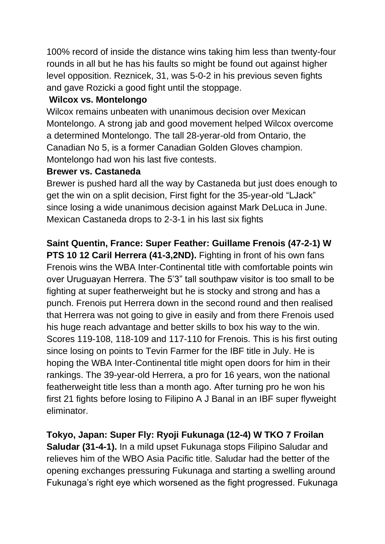100% record of inside the distance wins taking him less than twenty-four rounds in all but he has his faults so might be found out against higher level opposition. Reznicek, 31, was 5-0-2 in his previous seven fights and gave Rozicki a good fight until the stoppage.

## **Wilcox vs. Montelongo**

Wilcox remains unbeaten with unanimous decision over Mexican Montelongo. A strong jab and good movement helped Wilcox overcome a determined Montelongo. The tall 28-yerar-old from Ontario, the Canadian No 5, is a former Canadian Golden Gloves champion. Montelongo had won his last five contests.

## **Brewer vs. Castaneda**

Brewer is pushed hard all the way by Castaneda but just does enough to get the win on a split decision, First fight for the 35-year-old "LJack" since losing a wide unanimous decision against Mark DeLuca in June. Mexican Castaneda drops to 2-3-1 in his last six fights

# **Saint Quentin, France: Super Feather: Guillame Frenois (47-2-1) W**

**PTS 10 12 Caril Herrera (41-3,2ND).** Fighting in front of his own fans Frenois wins the WBA Inter-Continental title with comfortable points win over Uruguayan Herrera. The 5'3" tall southpaw visitor is too small to be fighting at super featherweight but he is stocky and strong and has a punch. Frenois put Herrera down in the second round and then realised that Herrera was not going to give in easily and from there Frenois used his huge reach advantage and better skills to box his way to the win. Scores 119-108, 118-109 and 117-110 for Frenois. This is his first outing since losing on points to Tevin Farmer for the IBF title in July. He is hoping the WBA Inter-Continental title might open doors for him in their rankings. The 39-year-old Herrera, a pro for 16 years, won the national featherweight title less than a month ago. After turning pro he won his first 21 fights before losing to Filipino A J Banal in an IBF super flyweight eliminator.

**Tokyo, Japan: Super Fly: Ryoji Fukunaga (12-4) W TKO 7 Froilan Saludar (31-4-1).** In a mild upset Fukunaga stops Filipino Saludar and relieves him of the WBO Asia Pacific title. Saludar had the better of the opening exchanges pressuring Fukunaga and starting a swelling around Fukunaga's right eye which worsened as the fight progressed. Fukunaga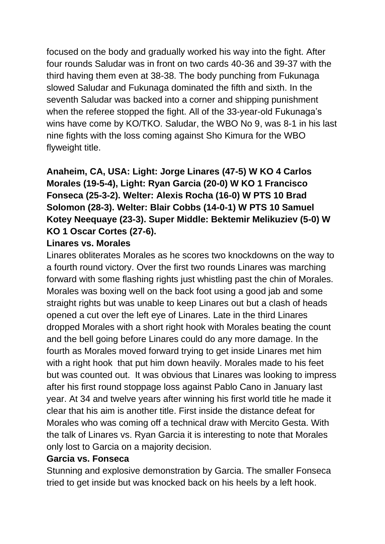focused on the body and gradually worked his way into the fight. After four rounds Saludar was in front on two cards 40-36 and 39-37 with the third having them even at 38-38. The body punching from Fukunaga slowed Saludar and Fukunaga dominated the fifth and sixth. In the seventh Saludar was backed into a corner and shipping punishment when the referee stopped the fight. All of the 33-year-old Fukunaga's wins have come by KO/TKO. Saludar, the WBO No 9, was 8-1 in his last nine fights with the loss coming against Sho Kimura for the WBO flyweight title.

# **Anaheim, CA, USA: Light: Jorge Linares (47-5) W KO 4 Carlos Morales (19-5-4), Light: Ryan Garcia (20-0) W KO 1 Francisco Fonseca (25-3-2). Welter: Alexis Rocha (16-0) W PTS 10 Brad Solomon (28-3). Welter: Blair Cobbs (14-0-1) W PTS 10 Samuel Kotey Neequaye (23-3). Super Middle: Bektemir Melikuziev (5-0) W KO 1 Oscar Cortes (27-6).**

## **Linares vs. Morales**

Linares obliterates Morales as he scores two knockdowns on the way to a fourth round victory. Over the first two rounds Linares was marching forward with some flashing rights just whistling past the chin of Morales. Morales was boxing well on the back foot using a good jab and some straight rights but was unable to keep Linares out but a clash of heads opened a cut over the left eye of Linares. Late in the third Linares dropped Morales with a short right hook with Morales beating the count and the bell going before Linares could do any more damage. In the fourth as Morales moved forward trying to get inside Linares met him with a right hook that put him down heavily. Morales made to his feet but was counted out. It was obvious that Linares was looking to impress after his first round stoppage loss against Pablo Cano in January last year. At 34 and twelve years after winning his first world title he made it clear that his aim is another title. First inside the distance defeat for Morales who was coming off a technical draw with Mercito Gesta. With the talk of Linares vs. Ryan Garcia it is interesting to note that Morales only lost to Garcia on a majority decision.

### **Garcia vs. Fonseca**

Stunning and explosive demonstration by Garcia. The smaller Fonseca tried to get inside but was knocked back on his heels by a left hook.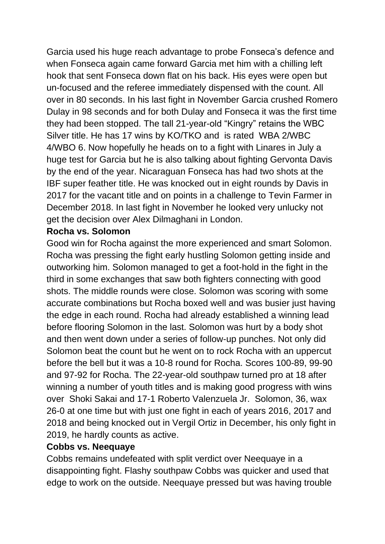Garcia used his huge reach advantage to probe Fonseca's defence and when Fonseca again came forward Garcia met him with a chilling left hook that sent Fonseca down flat on his back. His eyes were open but un-focused and the referee immediately dispensed with the count. All over in 80 seconds. In his last fight in November Garcia crushed Romero Dulay in 98 seconds and for both Dulay and Fonseca it was the first time they had been stopped. The tall 21-year-old "Kingry" retains the WBC Silver title. He has 17 wins by KO/TKO and is rated WBA 2/WBC 4/WBO 6. Now hopefully he heads on to a fight with Linares in July a huge test for Garcia but he is also talking about fighting Gervonta Davis by the end of the year. Nicaraguan Fonseca has had two shots at the IBF super feather title. He was knocked out in eight rounds by Davis in 2017 for the vacant title and on points in a challenge to Tevin Farmer in December 2018. In last fight in November he looked very unlucky not get the decision over Alex Dilmaghani in London.

### **Rocha vs. Solomon**

Good win for Rocha against the more experienced and smart Solomon. Rocha was pressing the fight early hustling Solomon getting inside and outworking him. Solomon managed to get a foot-hold in the fight in the third in some exchanges that saw both fighters connecting with good shots. The middle rounds were close. Solomon was scoring with some accurate combinations but Rocha boxed well and was busier just having the edge in each round. Rocha had already established a winning lead before flooring Solomon in the last. Solomon was hurt by a body shot and then went down under a series of follow-up punches. Not only did Solomon beat the count but he went on to rock Rocha with an uppercut before the bell but it was a 10-8 round for Rocha. Scores 100-89, 99-90 and 97-92 for Rocha. The 22-year-old southpaw turned pro at 18 after winning a number of youth titles and is making good progress with wins over Shoki Sakai and 17-1 Roberto Valenzuela Jr. Solomon, 36, wax 26-0 at one time but with just one fight in each of years 2016, 2017 and 2018 and being knocked out in Vergil Ortiz in December, his only fight in 2019, he hardly counts as active.

### **Cobbs vs. Neequaye**

Cobbs remains undefeated with split verdict over Neequaye in a disappointing fight. Flashy southpaw Cobbs was quicker and used that edge to work on the outside. Neequaye pressed but was having trouble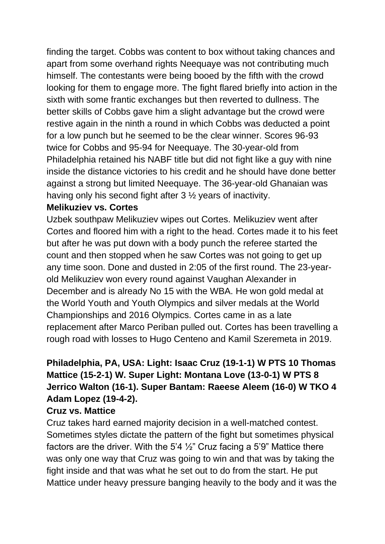finding the target. Cobbs was content to box without taking chances and apart from some overhand rights Neequaye was not contributing much himself. The contestants were being booed by the fifth with the crowd looking for them to engage more. The fight flared briefly into action in the sixth with some frantic exchanges but then reverted to dullness. The better skills of Cobbs gave him a slight advantage but the crowd were restive again in the ninth a round in which Cobbs was deducted a point for a low punch but he seemed to be the clear winner. Scores 96-93 twice for Cobbs and 95-94 for Neequaye. The 30-year-old from Philadelphia retained his NABF title but did not fight like a guy with nine inside the distance victories to his credit and he should have done better against a strong but limited Neequaye. The 36-year-old Ghanaian was having only his second fight after 3 ½ years of inactivity.

### **Melikuziev vs. Cortes**

Uzbek southpaw Melikuziev wipes out Cortes. Melikuziev went after Cortes and floored him with a right to the head. Cortes made it to his feet but after he was put down with a body punch the referee started the count and then stopped when he saw Cortes was not going to get up any time soon. Done and dusted in 2:05 of the first round. The 23-yearold Melikuziev won every round against Vaughan Alexander in December and is already No 15 with the WBA. He won gold medal at the World Youth and Youth Olympics and silver medals at the World Championships and 2016 Olympics. Cortes came in as a late replacement after Marco Periban pulled out. Cortes has been travelling a rough road with losses to Hugo Centeno and Kamil Szeremeta in 2019.

# **Philadelphia, PA, USA: Light: Isaac Cruz (19-1-1) W PTS 10 Thomas Mattice (15-2-1) W. Super Light: Montana Love (13-0-1) W PTS 8 Jerrico Walton (16-1). Super Bantam: Raeese Aleem (16-0) W TKO 4 Adam Lopez (19-4-2).**

## **Cruz vs. Mattice**

Cruz takes hard earned majority decision in a well-matched contest. Sometimes styles dictate the pattern of the fight but sometimes physical factors are the driver. With the 5'4  $\frac{1}{2}$ " Cruz facing a 5'9" Mattice there was only one way that Cruz was going to win and that was by taking the fight inside and that was what he set out to do from the start. He put Mattice under heavy pressure banging heavily to the body and it was the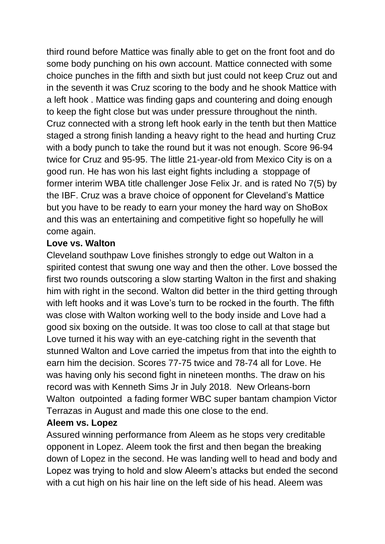third round before Mattice was finally able to get on the front foot and do some body punching on his own account. Mattice connected with some choice punches in the fifth and sixth but just could not keep Cruz out and in the seventh it was Cruz scoring to the body and he shook Mattice with a left hook . Mattice was finding gaps and countering and doing enough to keep the fight close but was under pressure throughout the ninth. Cruz connected with a strong left hook early in the tenth but then Mattice staged a strong finish landing a heavy right to the head and hurting Cruz with a body punch to take the round but it was not enough. Score 96-94 twice for Cruz and 95-95. The little 21-year-old from Mexico City is on a good run. He has won his last eight fights including a stoppage of former interim WBA title challenger Jose Felix Jr. and is rated No 7(5) by the IBF. Cruz was a brave choice of opponent for Cleveland's Mattice but you have to be ready to earn your money the hard way on ShoBox and this was an entertaining and competitive fight so hopefully he will come again.

## **Love vs. Walton**

Cleveland southpaw Love finishes strongly to edge out Walton in a spirited contest that swung one way and then the other. Love bossed the first two rounds outscoring a slow starting Walton in the first and shaking him with right in the second. Walton did better in the third getting through with left hooks and it was Love's turn to be rocked in the fourth. The fifth was close with Walton working well to the body inside and Love had a good six boxing on the outside. It was too close to call at that stage but Love turned it his way with an eye-catching right in the seventh that stunned Walton and Love carried the impetus from that into the eighth to earn him the decision. Scores 77-75 twice and 78-74 all for Love. He was having only his second fight in nineteen months. The draw on his record was with Kenneth Sims Jr in July 2018. New Orleans-born Walton outpointed a fading former WBC super bantam champion Victor Terrazas in August and made this one close to the end.

### **Aleem vs. Lopez**

Assured winning performance from Aleem as he stops very creditable opponent in Lopez. Aleem took the first and then began the breaking down of Lopez in the second. He was landing well to head and body and Lopez was trying to hold and slow Aleem's attacks but ended the second with a cut high on his hair line on the left side of his head. Aleem was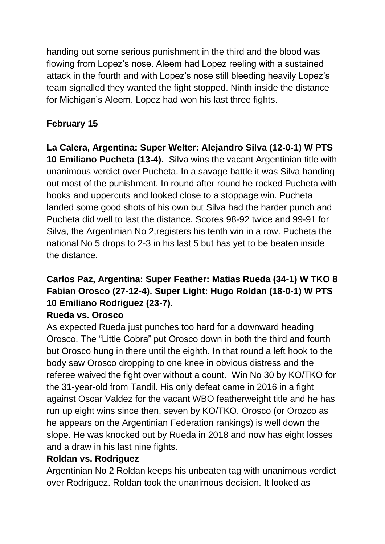handing out some serious punishment in the third and the blood was flowing from Lopez's nose. Aleem had Lopez reeling with a sustained attack in the fourth and with Lopez's nose still bleeding heavily Lopez's team signalled they wanted the fight stopped. Ninth inside the distance for Michigan's Aleem. Lopez had won his last three fights.

# **February 15**

**La Calera, Argentina: Super Welter: Alejandro Silva (12-0-1) W PTS 10 Emiliano Pucheta (13-4).** Silva wins the vacant Argentinian title with unanimous verdict over Pucheta. In a savage battle it was Silva handing out most of the punishment. In round after round he rocked Pucheta with hooks and uppercuts and looked close to a stoppage win. Pucheta landed some good shots of his own but Silva had the harder punch and Pucheta did well to last the distance. Scores 98-92 twice and 99-91 for Silva, the Argentinian No 2,registers his tenth win in a row. Pucheta the national No 5 drops to 2-3 in his last 5 but has yet to be beaten inside the distance.

# **Carlos Paz, Argentina: Super Feather: Matias Rueda (34-1) W TKO 8 Fabian Orosco (27-12-4). Super Light: Hugo Roldan (18-0-1) W PTS 10 Emiliano Rodriguez (23-7).**

## **Rueda vs. Orosco**

As expected Rueda just punches too hard for a downward heading Orosco. The "Little Cobra" put Orosco down in both the third and fourth but Orosco hung in there until the eighth. In that round a left hook to the body saw Orosco dropping to one knee in obvious distress and the referee waived the fight over without a count. Win No 30 by KO/TKO for the 31-year-old from Tandil. His only defeat came in 2016 in a fight against Oscar Valdez for the vacant WBO featherweight title and he has run up eight wins since then, seven by KO/TKO. Orosco (or Orozco as he appears on the Argentinian Federation rankings) is well down the slope. He was knocked out by Rueda in 2018 and now has eight losses and a draw in his last nine fights.

## **Roldan vs. Rodriguez**

Argentinian No 2 Roldan keeps his unbeaten tag with unanimous verdict over Rodriguez. Roldan took the unanimous decision. It looked as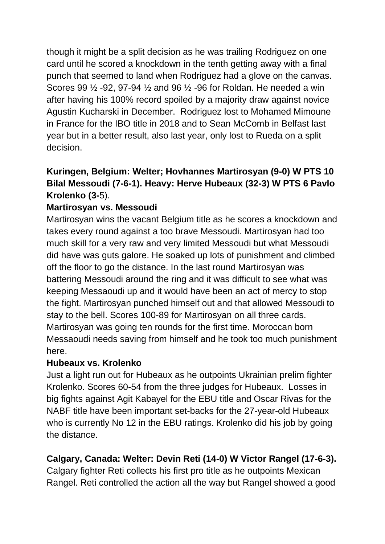though it might be a split decision as he was trailing Rodriguez on one card until he scored a knockdown in the tenth getting away with a final punch that seemed to land when Rodriguez had a glove on the canvas. Scores 99 ½ -92, 97-94 ½ and 96 ½ -96 for Roldan. He needed a win after having his 100% record spoiled by a majority draw against novice Agustin Kucharski in December. Rodriguez lost to Mohamed Mimoune in France for the IBO title in 2018 and to Sean McComb in Belfast last year but in a better result, also last year, only lost to Rueda on a split decision.

# **Kuringen, Belgium: Welter; Hovhannes Martirosyan (9-0) W PTS 10 Bilal Messoudi (7-6-1). Heavy: Herve Hubeaux (32-3) W PTS 6 Pavlo Krolenko (3-**5).

## **Martirosyan vs. Messoudi**

Martirosyan wins the vacant Belgium title as he scores a knockdown and takes every round against a too brave Messoudi. Martirosyan had too much skill for a very raw and very limited Messoudi but what Messoudi did have was guts galore. He soaked up lots of punishment and climbed off the floor to go the distance. In the last round Martirosyan was battering Messoudi around the ring and it was difficult to see what was keeping Messaoudi up and it would have been an act of mercy to stop the fight. Martirosyan punched himself out and that allowed Messoudi to stay to the bell. Scores 100-89 for Martirosyan on all three cards. Martirosyan was going ten rounds for the first time. Moroccan born Messaoudi needs saving from himself and he took too much punishment here.

### **Hubeaux vs. Krolenko**

Just a light run out for Hubeaux as he outpoints Ukrainian prelim fighter Krolenko. Scores 60-54 from the three judges for Hubeaux. Losses in big fights against Agit Kabayel for the EBU title and Oscar Rivas for the NABF title have been important set-backs for the 27-year-old Hubeaux who is currently No 12 in the EBU ratings. Krolenko did his job by going the distance.

## **Calgary, Canada: Welter: Devin Reti (14-0) W Victor Rangel (17-6-3).**

Calgary fighter Reti collects his first pro title as he outpoints Mexican Rangel. Reti controlled the action all the way but Rangel showed a good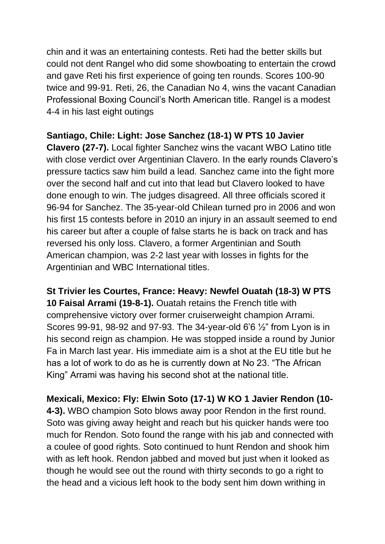chin and it was an entertaining contests. Reti had the better skills but could not dent Rangel who did some showboating to entertain the crowd and gave Reti his first experience of going ten rounds. Scores 100-90 twice and 99-91. Reti, 26, the Canadian No 4, wins the vacant Canadian Professional Boxing Council's North American title. Rangel is a modest 4-4 in his last eight outings

## **Santiago, Chile: Light: Jose Sanchez (18-1) W PTS 10 Javier**

**Clavero (27-7).** Local fighter Sanchez wins the vacant WBO Latino title with close verdict over Argentinian Clavero. In the early rounds Clavero's pressure tactics saw him build a lead. Sanchez came into the fight more over the second half and cut into that lead but Clavero looked to have done enough to win. The judges disagreed. All three officials scored it 96-94 for Sanchez. The 35-year-old Chilean turned pro in 2006 and won his first 15 contests before in 2010 an injury in an assault seemed to end his career but after a couple of false starts he is back on track and has reversed his only loss. Clavero, a former Argentinian and South American champion, was 2-2 last year with losses in fights for the Argentinian and WBC International titles.

**St Trivier les Courtes, France: Heavy: Newfel Ouatah (18-3) W PTS 10 Faisal Arrami (19-8-1).** Ouatah retains the French title with comprehensive victory over former cruiserweight champion Arrami. Scores 99-91, 98-92 and 97-93. The 34-year-old 6'6 ½" from Lyon is in his second reign as champion. He was stopped inside a round by Junior Fa in March last year. His immediate aim is a shot at the EU title but he has a lot of work to do as he is currently down at No 23. "The African King" Arrami was having his second shot at the national title.

**Mexicali, Mexico: Fly: Elwin Soto (17-1) W KO 1 Javier Rendon (10- 4-3).** WBO champion Soto blows away poor Rendon in the first round. Soto was giving away height and reach but his quicker hands were too much for Rendon. Soto found the range with his jab and connected with a coulee of good rights. Soto continued to hunt Rendon and shook him with as left hook. Rendon jabbed and moved but just when it looked as though he would see out the round with thirty seconds to go a right to the head and a vicious left hook to the body sent him down writhing in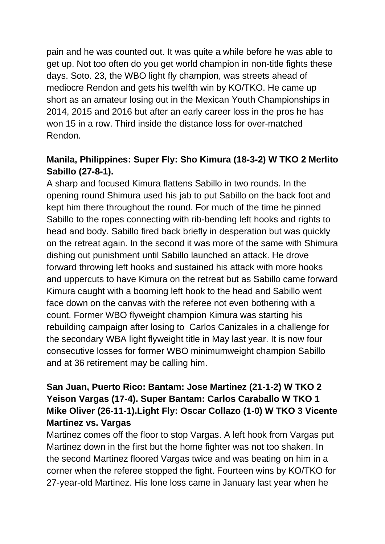pain and he was counted out. It was quite a while before he was able to get up. Not too often do you get world champion in non-title fights these days. Soto. 23, the WBO light fly champion, was streets ahead of mediocre Rendon and gets his twelfth win by KO/TKO. He came up short as an amateur losing out in the Mexican Youth Championships in 2014, 2015 and 2016 but after an early career loss in the pros he has won 15 in a row. Third inside the distance loss for over-matched Rendon.

## **Manila, Philippines: Super Fly: Sho Kimura (18-3-2) W TKO 2 Merlito Sabillo (27-8-1).**

A sharp and focused Kimura flattens Sabillo in two rounds. In the opening round Shimura used his jab to put Sabillo on the back foot and kept him there throughout the round. For much of the time he pinned Sabillo to the ropes connecting with rib-bending left hooks and rights to head and body. Sabillo fired back briefly in desperation but was quickly on the retreat again. In the second it was more of the same with Shimura dishing out punishment until Sabillo launched an attack. He drove forward throwing left hooks and sustained his attack with more hooks and uppercuts to have Kimura on the retreat but as Sabillo came forward Kimura caught with a booming left hook to the head and Sabillo went face down on the canvas with the referee not even bothering with a count. Former WBO flyweight champion Kimura was starting his rebuilding campaign after losing to Carlos Canizales in a challenge for the secondary WBA light flyweight title in May last year. It is now four consecutive losses for former WBO minimumweight champion Sabillo and at 36 retirement may be calling him.

## **San Juan, Puerto Rico: Bantam: Jose Martinez (21-1-2) W TKO 2 Yeison Vargas (17-4). Super Bantam: Carlos Caraballo W TKO 1 Mike Oliver (26-11-1).Light Fly: Oscar Collazo (1-0) W TKO 3 Vicente Martinez vs. Vargas**

Martinez comes off the floor to stop Vargas. A left hook from Vargas put Martinez down in the first but the home fighter was not too shaken. In the second Martinez floored Vargas twice and was beating on him in a corner when the referee stopped the fight. Fourteen wins by KO/TKO for 27-year-old Martinez. His lone loss came in January last year when he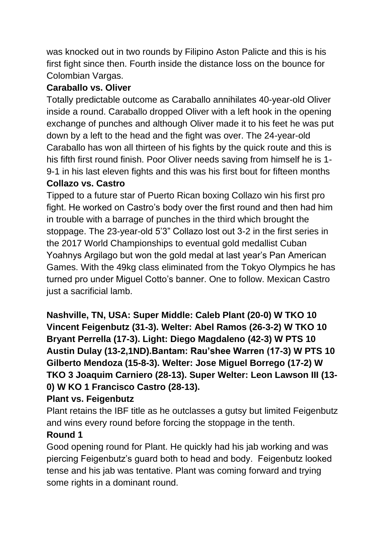was knocked out in two rounds by Filipino Aston Palicte and this is his first fight since then. Fourth inside the distance loss on the bounce for Colombian Vargas.

# **Caraballo vs. Oliver**

Totally predictable outcome as Caraballo annihilates 40-year-old Oliver inside a round. Caraballo dropped Oliver with a left hook in the opening exchange of punches and although Oliver made it to his feet he was put down by a left to the head and the fight was over. The 24-year-old Caraballo has won all thirteen of his fights by the quick route and this is his fifth first round finish. Poor Oliver needs saving from himself he is 1- 9-1 in his last eleven fights and this was his first bout for fifteen months **Collazo vs. Castro**

Tipped to a future star of Puerto Rican boxing Collazo win his first pro fight. He worked on Castro's body over the first round and then had him in trouble with a barrage of punches in the third which brought the stoppage. The 23-year-old 5'3" Collazo lost out 3-2 in the first series in the 2017 World Championships to eventual gold medallist Cuban Yoahnys Argilago but won the gold medal at last year's Pan American Games. With the 49kg class eliminated from the Tokyo Olympics he has turned pro under Miguel Cotto's banner. One to follow. Mexican Castro just a sacrificial lamb.

**Nashville, TN, USA: Super Middle: Caleb Plant (20-0) W TKO 10 Vincent Feigenbutz (31-3). Welter: Abel Ramos (26-3-2) W TKO 10 Bryant Perrella (17-3). Light: Diego Magdaleno (42-3) W PTS 10 Austin Dulay (13-2,1ND).Bantam: Rau'shee Warren (17-3) W PTS 10 Gilberto Mendoza (15-8-3). Welter: Jose Miguel Borrego (17-2) W TKO 3 Joaquim Carniero (28-13). Super Welter: Leon Lawson III (13- 0) W KO 1 Francisco Castro (28-13).**

## **Plant vs. Feigenbutz**

Plant retains the IBF title as he outclasses a gutsy but limited Feigenbutz and wins every round before forcing the stoppage in the tenth.

## **Round 1**

Good opening round for Plant. He quickly had his jab working and was piercing Feigenbutz's guard both to head and body. Feigenbutz looked tense and his jab was tentative. Plant was coming forward and trying some rights in a dominant round.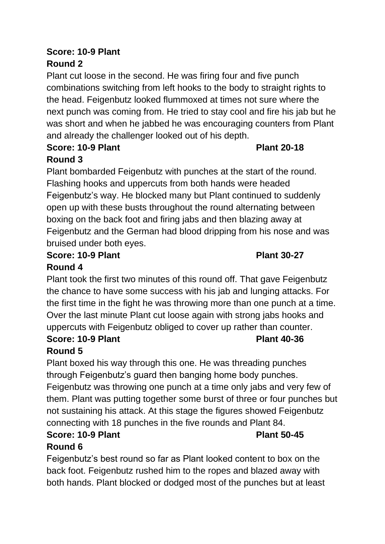## **Score: 10-9 Plant Round 2**

Plant cut loose in the second. He was firing four and five punch combinations switching from left hooks to the body to straight rights to the head. Feigenbutz looked flummoxed at times not sure where the next punch was coming from. He tried to stay cool and fire his jab but he was short and when he jabbed he was encouraging counters from Plant and already the challenger looked out of his depth.

#### **Score: 10-9 Plant Plant 20-18 Round 3**

Plant bombarded Feigenbutz with punches at the start of the round. Flashing hooks and uppercuts from both hands were headed Feigenbutz's way. He blocked many but Plant continued to suddenly open up with these busts throughout the round alternating between boxing on the back foot and firing jabs and then blazing away at Feigenbutz and the German had blood dripping from his nose and was bruised under both eyes.

#### **Score: 10-9 Plant Plant 30-27 Round 4**

Plant took the first two minutes of this round off. That gave Feigenbutz the chance to have some success with his jab and lunging attacks. For the first time in the fight he was throwing more than one punch at a time. Over the last minute Plant cut loose again with strong jabs hooks and uppercuts with Feigenbutz obliged to cover up rather than counter.

# **Score: 10-9 Plant Plant 40-36**

# **Round 5**

Plant boxed his way through this one. He was threading punches through Feigenbutz's guard then banging home body punches. Feigenbutz was throwing one punch at a time only jabs and very few of them. Plant was putting together some burst of three or four punches but not sustaining his attack. At this stage the figures showed Feigenbutz connecting with 18 punches in the five rounds and Plant 84.

## **Score: 10-9 Plant Plant 50-45 Round 6**

Feigenbutz's best round so far as Plant looked content to box on the back foot. Feigenbutz rushed him to the ropes and blazed away with both hands. Plant blocked or dodged most of the punches but at least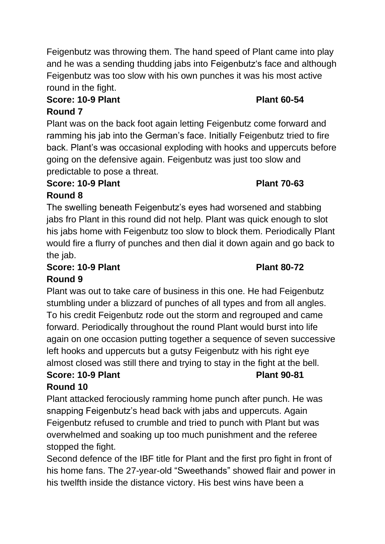Feigenbutz was throwing them. The hand speed of Plant came into play and he was a sending thudding jabs into Feigenbutz's face and although Feigenbutz was too slow with his own punches it was his most active round in the fight.

# **Score: 10-9 Plant Plant 60-54**

# **Round 7**

Plant was on the back foot again letting Feigenbutz come forward and ramming his jab into the German's face. Initially Feigenbutz tried to fire back. Plant's was occasional exploding with hooks and uppercuts before going on the defensive again. Feigenbutz was just too slow and predictable to pose a threat.

## **Score: 10-9 Plant Plant 70-63**

# **Round 8**

The swelling beneath Feigenbutz's eyes had worsened and stabbing jabs fro Plant in this round did not help. Plant was quick enough to slot his jabs home with Feigenbutz too slow to block them. Periodically Plant would fire a flurry of punches and then dial it down again and go back to the jab.

## **Score: 10-9 Plant Plant 80-72 Round 9**

Plant was out to take care of business in this one. He had Feigenbutz stumbling under a blizzard of punches of all types and from all angles. To his credit Feigenbutz rode out the storm and regrouped and came forward. Periodically throughout the round Plant would burst into life again on one occasion putting together a sequence of seven successive left hooks and uppercuts but a gutsy Feigenbutz with his right eye almost closed was still there and trying to stay in the fight at the bell. **Score: 10-9 Plant Plant 90-81**

## **Round 10**

Plant attacked ferociously ramming home punch after punch. He was snapping Feigenbutz's head back with jabs and uppercuts. Again Feigenbutz refused to crumble and tried to punch with Plant but was overwhelmed and soaking up too much punishment and the referee stopped the fight.

Second defence of the IBF title for Plant and the first pro fight in front of his home fans. The 27-year-old "Sweethands" showed flair and power in his twelfth inside the distance victory. His best wins have been a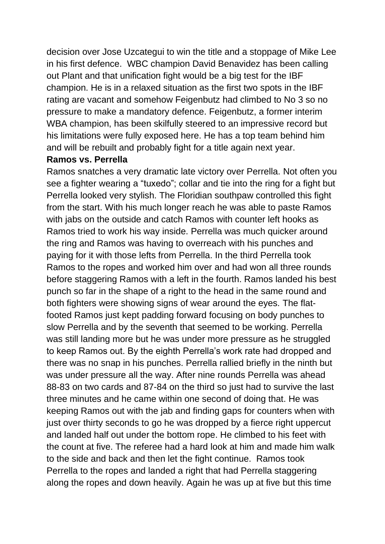decision over Jose Uzcategui to win the title and a stoppage of Mike Lee in his first defence. WBC champion David Benavidez has been calling out Plant and that unification fight would be a big test for the IBF champion. He is in a relaxed situation as the first two spots in the IBF rating are vacant and somehow Feigenbutz had climbed to No 3 so no pressure to make a mandatory defence. Feigenbutz, a former interim WBA champion, has been skilfully steered to an impressive record but his limitations were fully exposed here. He has a top team behind him and will be rebuilt and probably fight for a title again next year.

#### **Ramos vs. Perrella**

Ramos snatches a very dramatic late victory over Perrella. Not often you see a fighter wearing a "tuxedo"; collar and tie into the ring for a fight but Perrella looked very stylish. The Floridian southpaw controlled this fight from the start. With his much longer reach he was able to paste Ramos with jabs on the outside and catch Ramos with counter left hooks as Ramos tried to work his way inside. Perrella was much quicker around the ring and Ramos was having to overreach with his punches and paying for it with those lefts from Perrella. In the third Perrella took Ramos to the ropes and worked him over and had won all three rounds before staggering Ramos with a left in the fourth. Ramos landed his best punch so far in the shape of a right to the head in the same round and both fighters were showing signs of wear around the eyes. The flatfooted Ramos just kept padding forward focusing on body punches to slow Perrella and by the seventh that seemed to be working. Perrella was still landing more but he was under more pressure as he struggled to keep Ramos out. By the eighth Perrella's work rate had dropped and there was no snap in his punches. Perrella rallied briefly in the ninth but was under pressure all the way. After nine rounds Perrella was ahead 88-83 on two cards and 87-84 on the third so just had to survive the last three minutes and he came within one second of doing that. He was keeping Ramos out with the jab and finding gaps for counters when with just over thirty seconds to go he was dropped by a fierce right uppercut and landed half out under the bottom rope. He climbed to his feet with the count at five. The referee had a hard look at him and made him walk to the side and back and then let the fight continue. Ramos took Perrella to the ropes and landed a right that had Perrella staggering along the ropes and down heavily. Again he was up at five but this time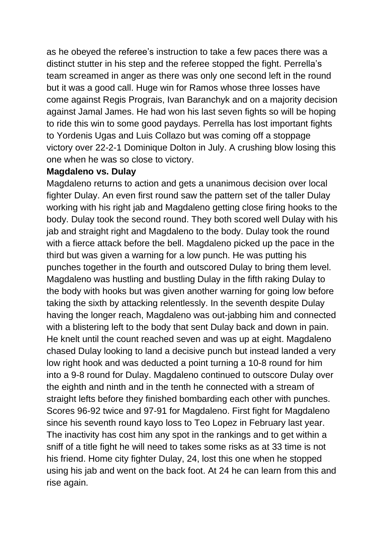as he obeyed the referee's instruction to take a few paces there was a distinct stutter in his step and the referee stopped the fight. Perrella's team screamed in anger as there was only one second left in the round but it was a good call. Huge win for Ramos whose three losses have come against Regis Prograis, Ivan Baranchyk and on a majority decision against Jamal James. He had won his last seven fights so will be hoping to ride this win to some good paydays. Perrella has lost important fights to Yordenis Ugas and Luis Collazo but was coming off a stoppage victory over 22-2-1 Dominique Dolton in July. A crushing blow losing this one when he was so close to victory.

#### **Magdaleno vs. Dulay**

Magdaleno returns to action and gets a unanimous decision over local fighter Dulay. An even first round saw the pattern set of the taller Dulay working with his right jab and Magdaleno getting close firing hooks to the body. Dulay took the second round. They both scored well Dulay with his jab and straight right and Magdaleno to the body. Dulay took the round with a fierce attack before the bell. Magdaleno picked up the pace in the third but was given a warning for a low punch. He was putting his punches together in the fourth and outscored Dulay to bring them level. Magdaleno was hustling and bustling Dulay in the fifth raking Dulay to the body with hooks but was given another warning for going low before taking the sixth by attacking relentlessly. In the seventh despite Dulay having the longer reach, Magdaleno was out-jabbing him and connected with a blistering left to the body that sent Dulay back and down in pain. He knelt until the count reached seven and was up at eight. Magdaleno chased Dulay looking to land a decisive punch but instead landed a very low right hook and was deducted a point turning a 10-8 round for him into a 9-8 round for Dulay. Magdaleno continued to outscore Dulay over the eighth and ninth and in the tenth he connected with a stream of straight lefts before they finished bombarding each other with punches. Scores 96-92 twice and 97-91 for Magdaleno. First fight for Magdaleno since his seventh round kayo loss to Teo Lopez in February last year. The inactivity has cost him any spot in the rankings and to get within a sniff of a title fight he will need to takes some risks as at 33 time is not his friend. Home city fighter Dulay, 24, lost this one when he stopped using his jab and went on the back foot. At 24 he can learn from this and rise again.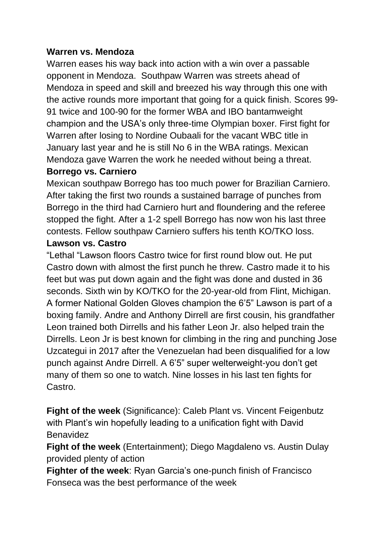## **Warren vs. Mendoza**

Warren eases his way back into action with a win over a passable opponent in Mendoza. Southpaw Warren was streets ahead of Mendoza in speed and skill and breezed his way through this one with the active rounds more important that going for a quick finish. Scores 99- 91 twice and 100-90 for the former WBA and IBO bantamweight champion and the USA's only three-time Olympian boxer. First fight for Warren after losing to Nordine Oubaali for the vacant WBC title in January last year and he is still No 6 in the WBA ratings. Mexican Mendoza gave Warren the work he needed without being a threat.

#### **Borrego vs. Carniero**

Mexican southpaw Borrego has too much power for Brazilian Carniero. After taking the first two rounds a sustained barrage of punches from Borrego in the third had Carniero hurt and floundering and the referee stopped the fight. After a 1-2 spell Borrego has now won his last three contests. Fellow southpaw Carniero suffers his tenth KO/TKO loss.

### **Lawson vs. Castro**

"Lethal "Lawson floors Castro twice for first round blow out. He put Castro down with almost the first punch he threw. Castro made it to his feet but was put down again and the fight was done and dusted in 36 seconds. Sixth win by KO/TKO for the 20-year-old from Flint, Michigan. A former National Golden Gloves champion the 6'5" Lawson is part of a boxing family. Andre and Anthony Dirrell are first cousin, his grandfather Leon trained both Dirrells and his father Leon Jr. also helped train the Dirrells. Leon Jr is best known for climbing in the ring and punching Jose Uzcategui in 2017 after the Venezuelan had been disqualified for a low punch against Andre Dirrell. A 6'5" super welterweight-you don't get many of them so one to watch. Nine losses in his last ten fights for Castro.

**Fight of the week** (Significance): Caleb Plant vs. Vincent Feigenbutz with Plant's win hopefully leading to a unification fight with David **Benavidez** 

**Fight of the week** (Entertainment); Diego Magdaleno vs. Austin Dulay provided plenty of action

**Fighter of the week**: Ryan Garcia's one-punch finish of Francisco Fonseca was the best performance of the week